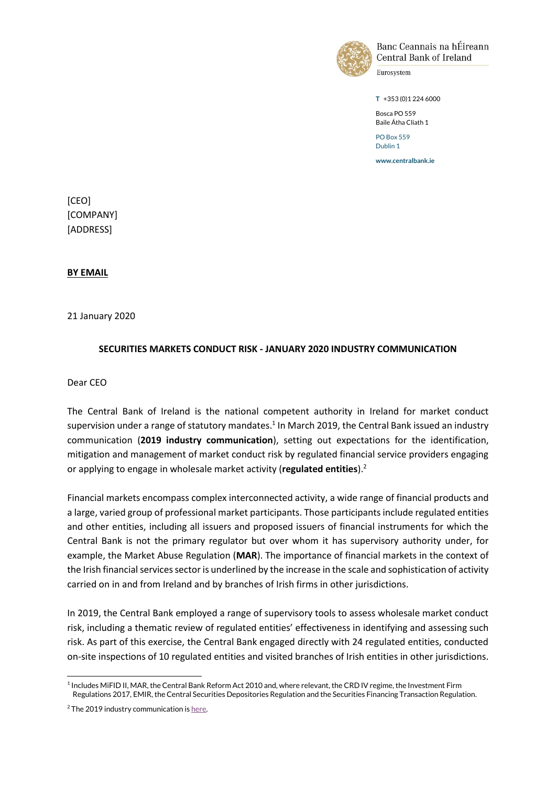

Banc Ceannais na hÉireann **Central Bank of Ireland** 

Eurosystem

**T** +353 (0)1 224 6000

Bosca PO 559 Baile Átha Cliath 1 PO Box 559

Dublin 1

**www.centralbank.ie**

[CEO] [COMPANY] [ADDRESS]

**BY EMAIL** 

21 January 2020

### **SECURITIES MARKETS CONDUCT RISK - JANUARY 2020 INDUSTRY COMMUNICATION**

Dear CEO

The Central Bank of Ireland is the national competent authority in Ireland for market conduct supervision under a range of statutory mandates.<sup>1</sup> In March 2019, the Central Bank issued an industry communication (**2019 industry communication**), setting out expectations for the identification, mitigation and management of market conduct risk by regulated financial service providers engaging or applying to engage in wholesale market activity (**regulated entities**). 2

Financial markets encompass complex interconnected activity, a wide range of financial products and a large, varied group of professional market participants. Those participants include regulated entities and other entities, including all issuers and proposed issuers of financial instruments for which the Central Bank is not the primary regulator but over whom it has supervisory authority under, for example, the Market Abuse Regulation (**MAR**). The importance of financial markets in the context of the Irish financial services sector is underlined by the increase in the scale and sophistication of activity carried on in and from Ireland and by branches of Irish firms in other jurisdictions.

In 2019, the Central Bank employed a range of supervisory tools to assess wholesale market conduct risk, including a thematic review of regulated entities' effectiveness in identifying and assessing such risk. As part of this exercise, the Central Bank engaged directly with 24 regulated entities, conducted on-site inspections of 10 regulated entities and visited branches of Irish entities in other jurisdictions.

<sup>1</sup> 1 Includes MiFID II, MAR, the Central Bank Reform Act 2010 and, where relevant, the CRD IV regime, the Investment Firm Regulations 2017, EMIR, the Central Securities Depositories Regulation and the Securities Financing Transaction Regulation.

 $2$  The 2019 industry communication i[s here.](https://www.centralbank.ie/docs/default-source/regulation/industry-market-sectors/wholesale-markets/wholesale-markets-dear-ceo-letter.pdf?sfvrsn=7)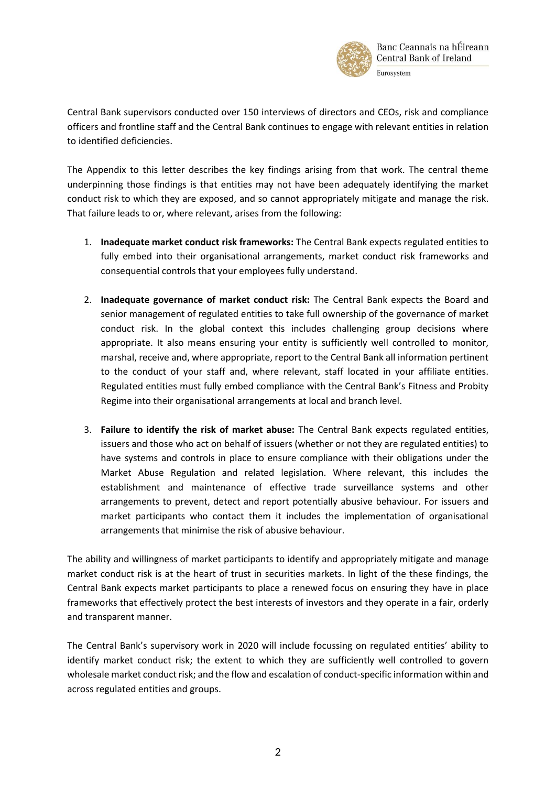

Central Bank supervisors conducted over 150 interviews of directors and CEOs, risk and compliance officers and frontline staff and the Central Bank continues to engage with relevant entities in relation to identified deficiencies.

The Appendix to this letter describes the key findings arising from that work. The central theme underpinning those findings is that entities may not have been adequately identifying the market conduct risk to which they are exposed, and so cannot appropriately mitigate and manage the risk. That failure leads to or, where relevant, arises from the following:

- 1. **Inadequate market conduct risk frameworks:** The Central Bank expects regulated entities to fully embed into their organisational arrangements, market conduct risk frameworks and consequential controls that your employees fully understand.
- 2. **Inadequate governance of market conduct risk:** The Central Bank expects the Board and senior management of regulated entities to take full ownership of the governance of market conduct risk. In the global context this includes challenging group decisions where appropriate. It also means ensuring your entity is sufficiently well controlled to monitor, marshal, receive and, where appropriate, report to the Central Bank all information pertinent to the conduct of your staff and, where relevant, staff located in your affiliate entities. Regulated entities must fully embed compliance with the Central Bank's Fitness and Probity Regime into their organisational arrangements at local and branch level.
- 3. **Failure to identify the risk of market abuse:** The Central Bank expects regulated entities, issuers and those who act on behalf of issuers (whether or not they are regulated entities) to have systems and controls in place to ensure compliance with their obligations under the Market Abuse Regulation and related legislation. Where relevant, this includes the establishment and maintenance of effective trade surveillance systems and other arrangements to prevent, detect and report potentially abusive behaviour. For issuers and market participants who contact them it includes the implementation of organisational arrangements that minimise the risk of abusive behaviour.

The ability and willingness of market participants to identify and appropriately mitigate and manage market conduct risk is at the heart of trust in securities markets. In light of the these findings, the Central Bank expects market participants to place a renewed focus on ensuring they have in place frameworks that effectively protect the best interests of investors and they operate in a fair, orderly and transparent manner.

The Central Bank's supervisory work in 2020 will include focussing on regulated entities' ability to identify market conduct risk; the extent to which they are sufficiently well controlled to govern wholesale market conduct risk; and the flow and escalation of conduct-specific information within and across regulated entities and groups.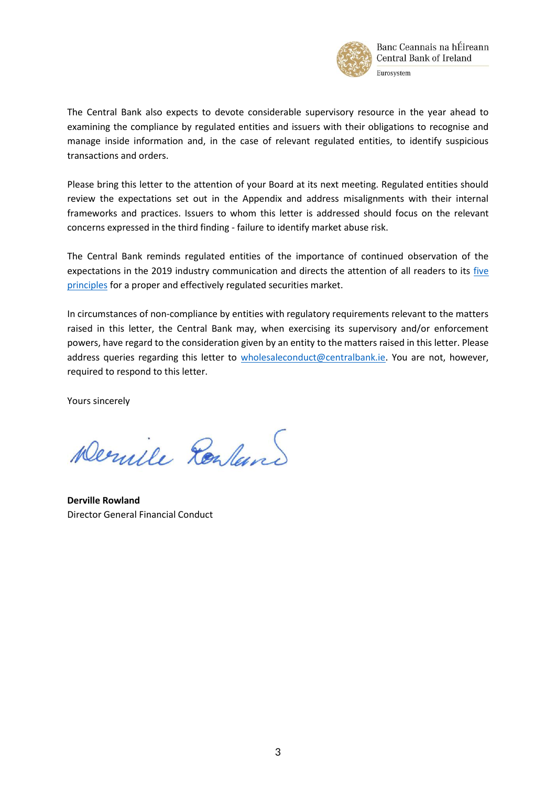

The Central Bank also expects to devote considerable supervisory resource in the year ahead to examining the compliance by regulated entities and issuers with their obligations to recognise and manage inside information and, in the case of relevant regulated entities, to identify suspicious transactions and orders.

Please bring this letter to the attention of your Board at its next meeting. Regulated entities should review the expectations set out in the Appendix and address misalignments with their internal frameworks and practices. Issuers to whom this letter is addressed should focus on the relevant concerns expressed in the third finding - failure to identify market abuse risk.

The Central Bank reminds regulated entities of the importance of continued observation of the expectations in the 2019 industry communication and directs the attention of all readers to its [five](https://www.centralbank.ie/regulation/industry-market-sectors/securities-markets/wholesale-markets)  [principles](https://www.centralbank.ie/regulation/industry-market-sectors/securities-markets/wholesale-markets) for a proper and effectively regulated securities market.

In circumstances of non-compliance by entities with regulatory requirements relevant to the matters raised in this letter, the Central Bank may, when exercising its supervisory and/or enforcement powers, have regard to the consideration given by an entity to the matters raised in this letter. Please address queries regarding this letter to [wholesaleconduct@centralbank.ie.](mailto:wholesaleconduct@centralbank.ie) You are not, however, required to respond to this letter.

Yours sincerely

Dernile Realand

**Derville Rowland**  Director General Financial Conduct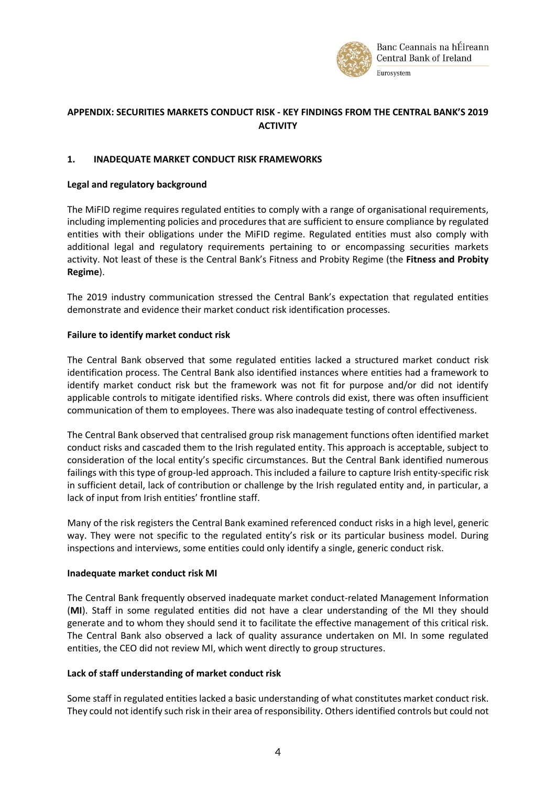

# **APPENDIX: SECURITIES MARKETS CONDUCT RISK - KEY FINDINGS FROM THE CENTRAL BANK'S 2019 ACTIVITY**

# **1. INADEQUATE MARKET CONDUCT RISK FRAMEWORKS**

### **Legal and regulatory background**

The MiFID regime requires regulated entities to comply with a range of organisational requirements, including implementing policies and procedures that are sufficient to ensure compliance by regulated entities with their obligations under the MiFID regime. Regulated entities must also comply with additional legal and regulatory requirements pertaining to or encompassing securities markets activity. Not least of these is the Central Bank's Fitness and Probity Regime (the **Fitness and Probity Regime**).

The 2019 industry communication stressed the Central Bank's expectation that regulated entities demonstrate and evidence their market conduct risk identification processes.

### **Failure to identify market conduct risk**

The Central Bank observed that some regulated entities lacked a structured market conduct risk identification process. The Central Bank also identified instances where entities had a framework to identify market conduct risk but the framework was not fit for purpose and/or did not identify applicable controls to mitigate identified risks. Where controls did exist, there was often insufficient communication of them to employees. There was also inadequate testing of control effectiveness.

The Central Bank observed that centralised group risk management functions often identified market conduct risks and cascaded them to the Irish regulated entity. This approach is acceptable, subject to consideration of the local entity's specific circumstances. But the Central Bank identified numerous failings with this type of group-led approach. This included a failure to capture Irish entity-specific risk in sufficient detail, lack of contribution or challenge by the Irish regulated entity and, in particular, a lack of input from Irish entities' frontline staff.

Many of the risk registers the Central Bank examined referenced conduct risks in a high level, generic way. They were not specific to the regulated entity's risk or its particular business model. During inspections and interviews, some entities could only identify a single, generic conduct risk.

# **Inadequate market conduct risk MI**

The Central Bank frequently observed inadequate market conduct-related Management Information (**MI**). Staff in some regulated entities did not have a clear understanding of the MI they should generate and to whom they should send it to facilitate the effective management of this critical risk. The Central Bank also observed a lack of quality assurance undertaken on MI. In some regulated entities, the CEO did not review MI, which went directly to group structures.

# **Lack of staff understanding of market conduct risk**

Some staff in regulated entities lacked a basic understanding of what constitutes market conduct risk. They could not identify such risk in their area of responsibility. Others identified controls but could not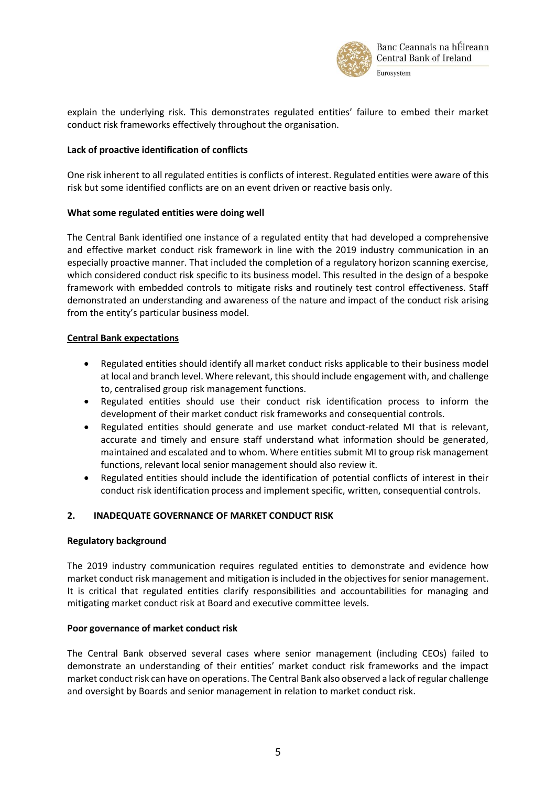

explain the underlying risk. This demonstrates regulated entities' failure to embed their market conduct risk frameworks effectively throughout the organisation.

## **Lack of proactive identification of conflicts**

One risk inherent to all regulated entities is conflicts of interest. Regulated entities were aware of this risk but some identified conflicts are on an event driven or reactive basis only.

### **What some regulated entities were doing well**

The Central Bank identified one instance of a regulated entity that had developed a comprehensive and effective market conduct risk framework in line with the 2019 industry communication in an especially proactive manner. That included the completion of a regulatory horizon scanning exercise, which considered conduct risk specific to its business model. This resulted in the design of a bespoke framework with embedded controls to mitigate risks and routinely test control effectiveness. Staff demonstrated an understanding and awareness of the nature and impact of the conduct risk arising from the entity's particular business model.

# **Central Bank expectations**

- Regulated entities should identify all market conduct risks applicable to their business model at local and branch level. Where relevant, this should include engagement with, and challenge to, centralised group risk management functions.
- Regulated entities should use their conduct risk identification process to inform the development of their market conduct risk frameworks and consequential controls.
- Regulated entities should generate and use market conduct-related MI that is relevant, accurate and timely and ensure staff understand what information should be generated, maintained and escalated and to whom. Where entities submit MI to group risk management functions, relevant local senior management should also review it.
- Regulated entities should include the identification of potential conflicts of interest in their conduct risk identification process and implement specific, written, consequential controls.

# **2. INADEQUATE GOVERNANCE OF MARKET CONDUCT RISK**

### **Regulatory background**

The 2019 industry communication requires regulated entities to demonstrate and evidence how market conduct risk management and mitigation is included in the objectives for senior management. It is critical that regulated entities clarify responsibilities and accountabilities for managing and mitigating market conduct risk at Board and executive committee levels.

### **Poor governance of market conduct risk**

The Central Bank observed several cases where senior management (including CEOs) failed to demonstrate an understanding of their entities' market conduct risk frameworks and the impact market conduct risk can have on operations. The Central Bank also observed a lack of regular challenge and oversight by Boards and senior management in relation to market conduct risk.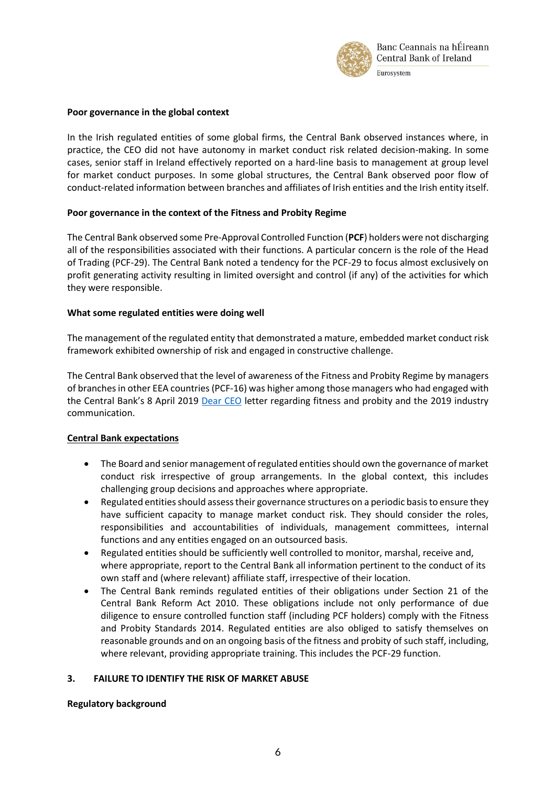

### **Poor governance in the global context**

In the Irish regulated entities of some global firms, the Central Bank observed instances where, in practice, the CEO did not have autonomy in market conduct risk related decision-making. In some cases, senior staff in Ireland effectively reported on a hard-line basis to management at group level for market conduct purposes. In some global structures, the Central Bank observed poor flow of conduct-related information between branches and affiliates of Irish entities and the Irish entity itself.

#### **Poor governance in the context of the Fitness and Probity Regime**

The Central Bank observed some Pre-Approval Controlled Function (**PCF**) holders were not discharging all of the responsibilities associated with their functions. A particular concern is the role of the Head of Trading (PCF-29). The Central Bank noted a tendency for the PCF-29 to focus almost exclusively on profit generating activity resulting in limited oversight and control (if any) of the activities for which they were responsible.

#### **What some regulated entities were doing well**

The management of the regulated entity that demonstrated a mature, embedded market conduct risk framework exhibited ownership of risk and engaged in constructive challenge.

The Central Bank observed that the level of awareness of the Fitness and Probity Regime by managers of branches in other EEA countries (PCF-16) was higher among those managers who had engaged with the Central Bank's 8 April 2019 [Dear CEO](https://www.centralbank.ie/docs/default-source/news-and-media/press-releases/190408-dear-ceo-letter-fandp.pdf) letter regarding fitness and probity and the 2019 industry communication.

### **Central Bank expectations**

- The Board and senior management of regulated entities should own the governance of market conduct risk irrespective of group arrangements. In the global context, this includes challenging group decisions and approaches where appropriate.
- Regulated entities should assess their governance structures on a periodic basis to ensure they have sufficient capacity to manage market conduct risk. They should consider the roles, responsibilities and accountabilities of individuals, management committees, internal functions and any entities engaged on an outsourced basis.
- Regulated entities should be sufficiently well controlled to monitor, marshal, receive and, where appropriate, report to the Central Bank all information pertinent to the conduct of its own staff and (where relevant) affiliate staff, irrespective of their location.
- The Central Bank reminds regulated entities of their obligations under Section 21 of the Central Bank Reform Act 2010. These obligations include not only performance of due diligence to ensure controlled function staff (including PCF holders) comply with the Fitness and Probity Standards 2014. Regulated entities are also obliged to satisfy themselves on reasonable grounds and on an ongoing basis of the fitness and probity of such staff, including, where relevant, providing appropriate training. This includes the PCF-29 function.

### **3. FAILURE TO IDENTIFY THE RISK OF MARKET ABUSE**

#### **Regulatory background**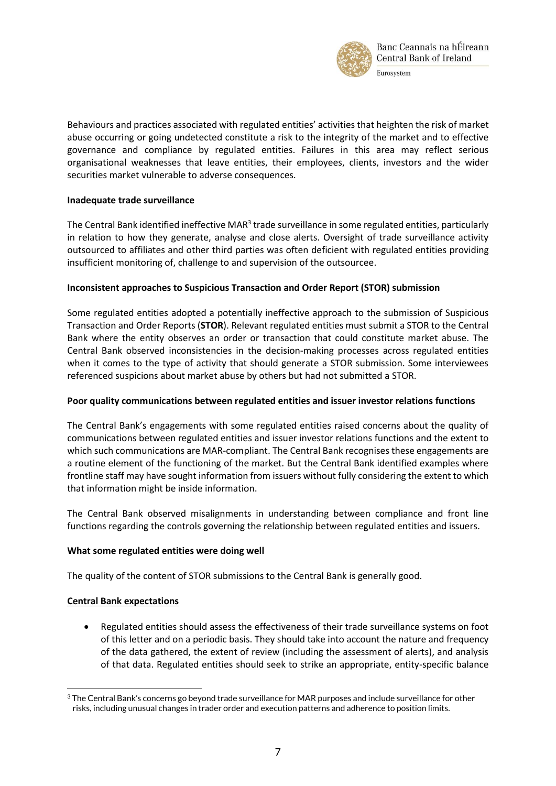

Behaviours and practices associated with regulated entities' activities that heighten the risk of market abuse occurring or going undetected constitute a risk to the integrity of the market and to effective governance and compliance by regulated entities. Failures in this area may reflect serious organisational weaknesses that leave entities, their employees, clients, investors and the wider securities market vulnerable to adverse consequences.

### **Inadequate trade surveillance**

The Central Bank identified ineffective MAR<sup>3</sup> trade surveillance in some regulated entities, particularly in relation to how they generate, analyse and close alerts. Oversight of trade surveillance activity outsourced to affiliates and other third parties was often deficient with regulated entities providing insufficient monitoring of, challenge to and supervision of the outsourcee.

### **Inconsistent approaches to Suspicious Transaction and Order Report (STOR) submission**

Some regulated entities adopted a potentially ineffective approach to the submission of Suspicious Transaction and Order Reports (**STOR**). Relevant regulated entities must submit a STOR to the Central Bank where the entity observes an order or transaction that could constitute market abuse. The Central Bank observed inconsistencies in the decision-making processes across regulated entities when it comes to the type of activity that should generate a STOR submission. Some interviewees referenced suspicions about market abuse by others but had not submitted a STOR.

# **Poor quality communications between regulated entities and issuer investor relations functions**

The Central Bank's engagements with some regulated entities raised concerns about the quality of communications between regulated entities and issuer investor relations functions and the extent to which such communications are MAR-compliant. The Central Bank recognises these engagements are a routine element of the functioning of the market. But the Central Bank identified examples where frontline staff may have sought information from issuers without fully considering the extent to which that information might be inside information.

The Central Bank observed misalignments in understanding between compliance and front line functions regarding the controls governing the relationship between regulated entities and issuers.

# **What some regulated entities were doing well**

The quality of the content of STOR submissions to the Central Bank is generally good.

# **Central Bank expectations**

1

 Regulated entities should assess the effectiveness of their trade surveillance systems on foot of this letter and on a periodic basis. They should take into account the nature and frequency of the data gathered, the extent of review (including the assessment of alerts), and analysis of that data. Regulated entities should seek to strike an appropriate, entity-specific balance

<sup>3</sup> The Central Bank's concerns go beyond trade surveillance for MAR purposes and include surveillance for other risks, including unusual changes in trader order and execution patterns and adherence to position limits.